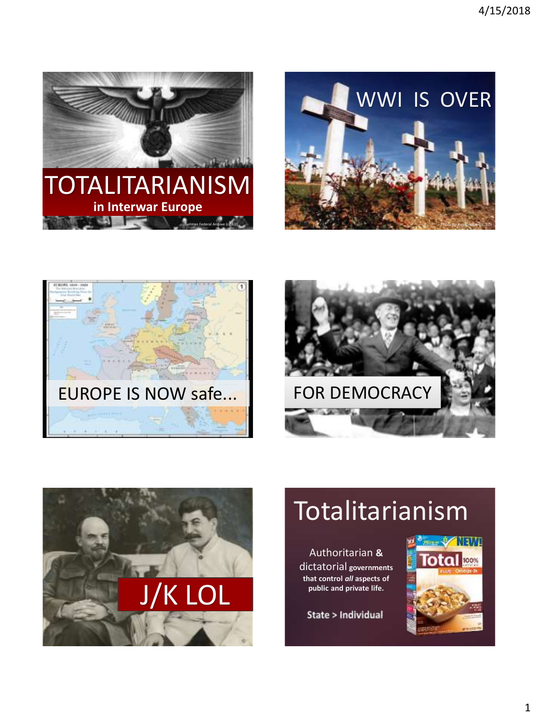









# **Totalitarianism**

Authoritarian **&** dictatorial **governments that control** *all* **aspects of public and private life.**

**State > Individual** 

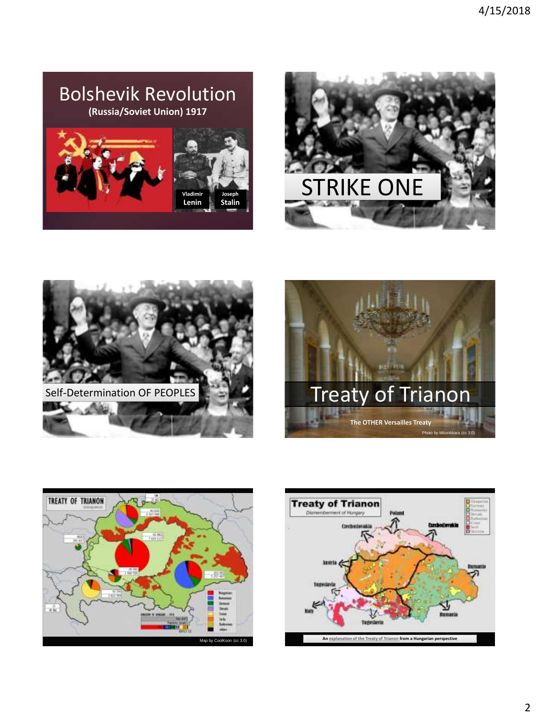## Bolshevik Revolution **(Russia/Soviet Union) 1917**











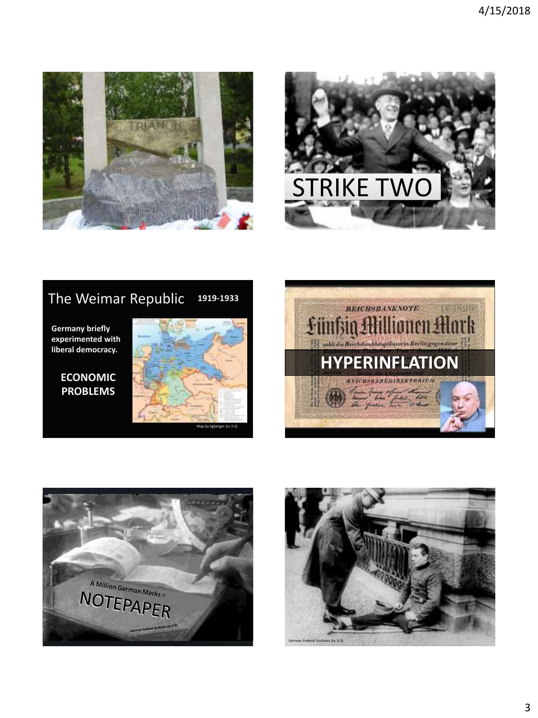



#### The Weimar Republic **1919-1933**

**Germany briefly experimented with liberal democracy.**

### **ECONOMIC PROBLEMS**







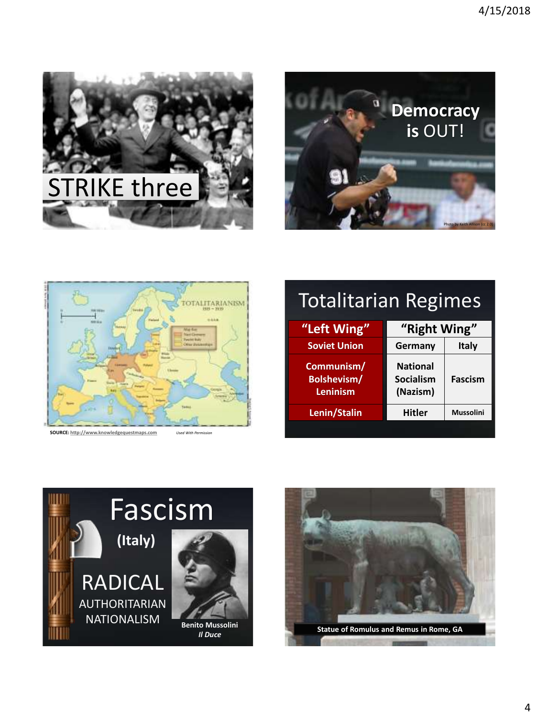





**SOURCE:** [http://www.knowledgequestmaps.com](http://www.knowledgequestmaps.com/) *Used With* 

# Totalitarian Regimes

| "Left Wing"                                         | "Right Wing"                             |                  |
|-----------------------------------------------------|------------------------------------------|------------------|
| <b>Soviet Union</b>                                 | Germany                                  | Italy            |
| Communism/<br><b>Bolshevism/</b><br><b>Leninism</b> | <b>National</b><br>Socialism<br>(Nazism) | Fascism          |
| Lenin/Stalin                                        | <b>Hitler</b>                            | <b>Mussolini</b> |
|                                                     |                                          |                  |



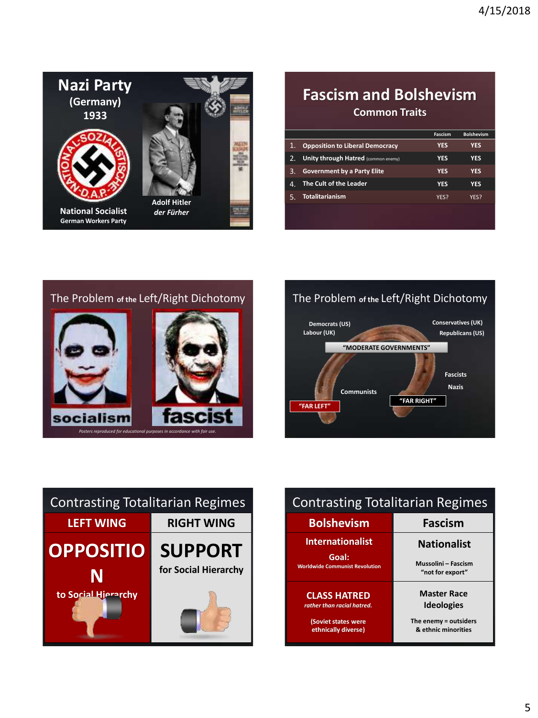

## **Fascism and Bolshevism Common Traits**

|    |                                        | Fascism    | <b>Bolshevism</b> |
|----|----------------------------------------|------------|-------------------|
| 1. | <b>Opposition to Liberal Democracy</b> | YFS        | YES               |
| 2. | Unity through Hatred (common enemy)    | YFS        | YFS               |
| 3. | <b>Government by a Party Elite</b>     | YFS        | YFS               |
| 47 | The Cult of the Leader                 | <b>YES</b> | YES               |
|    | <b>Totalitarianism</b>                 | YFS?       | YFS?              |
|    |                                        |            |                   |





| <b>Contrasting Totalitarian Regimes</b> |                      |  |
|-----------------------------------------|----------------------|--|
| <b>LEFT WING</b>                        | <b>RIGHT WING</b>    |  |
| <b>OPPOSITIO</b>                        | <b>SUPPORT</b>       |  |
| N                                       | for Social Hierarchy |  |
| to Social Hierarchy                     |                      |  |

| <b>Contrasting Totalitarian Regimes</b>           |                                                |  |
|---------------------------------------------------|------------------------------------------------|--|
| <b>Bolshevism</b>                                 | Fascism                                        |  |
| <b>Internationalist</b>                           | <b>Nationalist</b>                             |  |
| Goal:<br><b>Worldwide Communist Revolution</b>    | Mussolini - Fascism<br>"not for export"        |  |
| <b>CLASS HATRED</b><br>rather than racial hatred. | <b>Master Race</b><br><b>Ideologies</b>        |  |
| (Soviet states were<br>ethnically diverse)        | The enemy $=$ outsiders<br>& ethnic minorities |  |